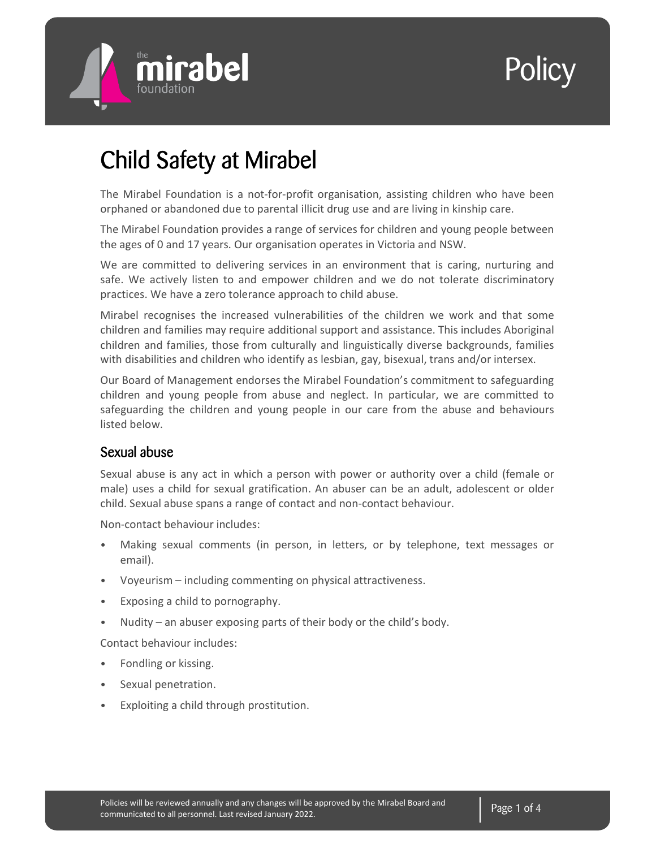

# Policy |

## Child Safety at Mirabel

The Mirabel Foundation is a not-for-profit organisation, assisting children who have been orphaned or abandoned due to parental illicit drug use and are living in kinship care.

The Mirabel Foundation provides a range of services for children and young people between the ages of 0 and 17 years. Our organisation operates in Victoria and NSW.

We are committed to delivering services in an environment that is caring, nurturing and safe. We actively listen to and empower children and we do not tolerate discriminatory practices. We have a zero tolerance approach to child abuse.

Mirabel recognises the increased vulnerabilities of the children we work and that some children and families may require additional support and assistance. This includes Aboriginal children and families, those from culturally and linguistically diverse backgrounds, families with disabilities and children who identify as lesbian, gay, bisexual, trans and/or intersex.

Our Board of Management endorses the Mirabel Foundation's commitment to safeguarding children and young people from abuse and neglect. In particular, we are committed to safeguarding the children and young people in our care from the abuse and behaviours listed below.

#### Sexual abuse

Sexual abuse is any act in which a person with power or authority over a child (female or male) uses a child for sexual gratification. An abuser can be an adult, adolescent or older child. Sexual abuse spans a range of contact and non-contact behaviour.

Non-contact behaviour includes:

- Making sexual comments (in person, in letters, or by telephone, text messages or email).
- Voyeurism including commenting on physical attractiveness.
- Exposing a child to pornography.
- Nudity an abuser exposing parts of their body or the child's body.

Contact behaviour includes:

- Fondling or kissing.
- Sexual penetration.
- Exploiting a child through prostitution.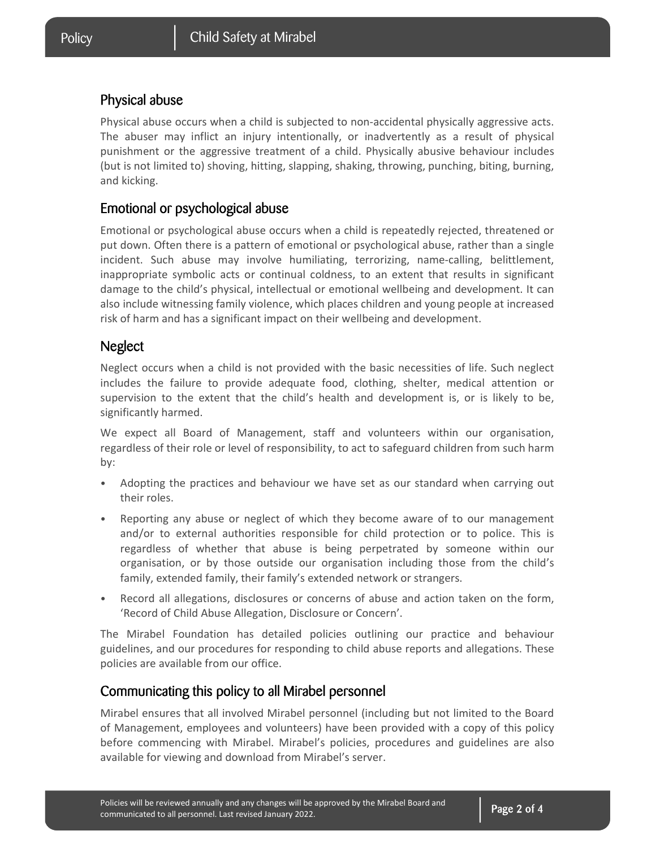#### Physical abuse

Physical abuse occurs when a child is subjected to non-accidental physically aggressive acts. The abuser may inflict an injury intentionally, or inadvertently as a result of physical punishment or the aggressive treatment of a child. Physically abusive behaviour includes (but is not limited to) shoving, hitting, slapping, shaking, throwing, punching, biting, burning, and kicking.

#### Emotional or psychological abuse

Emotional or psychological abuse occurs when a child is repeatedly rejected, threatened or put down. Often there is a pattern of emotional or psychological abuse, rather than a single incident. Such abuse may involve humiliating, terrorizing, name-calling, belittlement, inappropriate symbolic acts or continual coldness, to an extent that results in significant damage to the child's physical, intellectual or emotional wellbeing and development. It can also include witnessing family violence, which places children and young people at increased risk of harm and has a significant impact on their wellbeing and development.

#### **Neglect**

Neglect occurs when a child is not provided with the basic necessities of life. Such neglect includes the failure to provide adequate food, clothing, shelter, medical attention or supervision to the extent that the child's health and development is, or is likely to be, significantly harmed.

We expect all Board of Management, staff and volunteers within our organisation, regardless of their role or level of responsibility, to act to safeguard children from such harm by:

- Adopting the practices and behaviour we have set as our standard when carrying out their roles.
- Reporting any abuse or neglect of which they become aware of to our management and/or to external authorities responsible for child protection or to police. This is regardless of whether that abuse is being perpetrated by someone within our organisation, or by those outside our organisation including those from the child's family, extended family, their family's extended network or strangers.
- Record all allegations, disclosures or concerns of abuse and action taken on the form, 'Record of Child Abuse Allegation, Disclosure or Concern'.

The Mirabel Foundation has detailed policies outlining our practice and behaviour guidelines, and our procedures for responding to child abuse reports and allegations. These policies are available from our office.

#### Communicating this policy to all Mirabel personnel

Mirabel ensures that all involved Mirabel personnel (including but not limited to the Board of Management, employees and volunteers) have been provided with a copy of this policy before commencing with Mirabel. Mirabel's policies, procedures and guidelines are also available for viewing and download from Mirabel's server.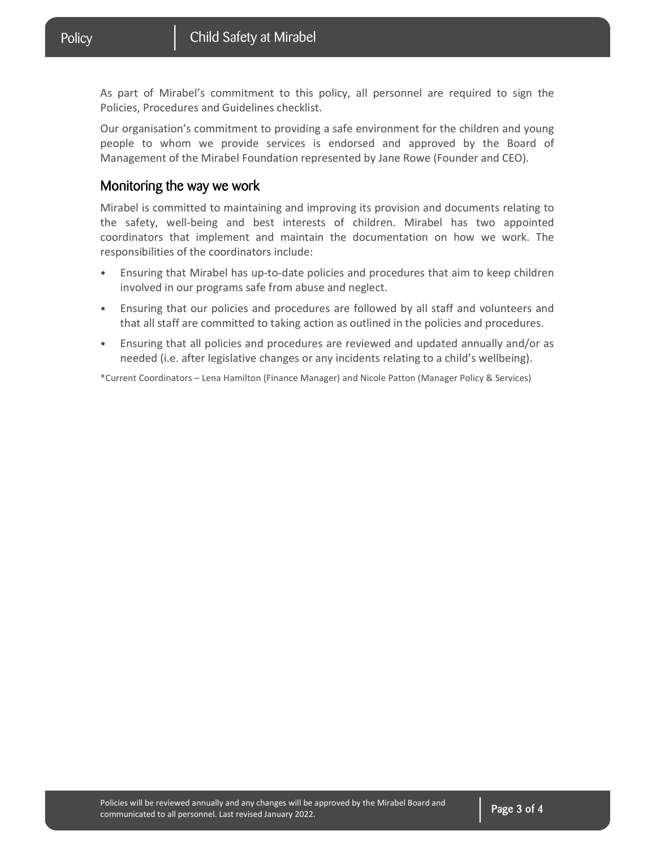As part of Mirabel's commitment to this policy, all personnel are required to sign the Policies, Procedures and Guidelines checklist.

Our organisation's commitment to providing a safe environment for the children and young people to whom we provide services is endorsed and approved by the Board of Management of the Mirabel Foundation represented by Jane Rowe (Founder and CEO).

#### Monitoring the way we work

Mirabel is committed to maintaining and improving its provision and documents relating to the safety, well-being and best interests of children. Mirabel has two appointed coordinators that implement and maintain the documentation on how we work. The responsibilities of the coordinators include:

- Ensuring that Mirabel has up-to-date policies and procedures that aim to keep children involved in our programs safe from abuse and neglect.
- Ensuring that our policies and procedures are followed by all staff and volunteers and that all staff are committed to taking action as outlined in the policies and procedures.
- Ensuring that all policies and procedures are reviewed and updated annually and/or as needed (i.e. after legislative changes or any incidents relating to a child's wellbeing).

\*Current Coordinators – Lena Hamilton (Finance Manager) and Nicole Patton (Manager Policy & Services)